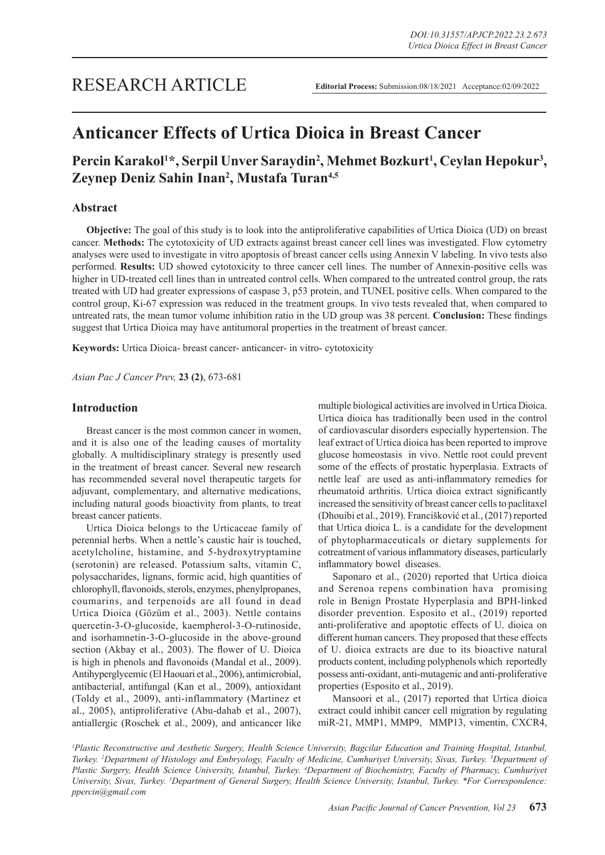# **Anticancer Effects of Urtica Dioica in Breast Cancer**

# Percin Karakol<sup>1\*</sup>, Serpil Unver Saraydin<sup>2</sup>, Mehmet Bozkurt<sup>1</sup>, Ceylan Hepokur<sup>3</sup>, **Zeynep Deniz Sahin Inan2 , Mustafa Turan4,5**

# **Abstract**

**Objective:** The goal of this study is to look into the antiproliferative capabilities of Urtica Dioica (UD) on breast cancer. **Methods:** The cytotoxicity of UD extracts against breast cancer cell lines was investigated. Flow cytometry analyses were used to investigate in vitro apoptosis of breast cancer cells using Annexin V labeling. In vivo tests also performed. **Results:** UD showed cytotoxicity to three cancer cell lines. The number of Annexin-positive cells was higher in UD-treated cell lines than in untreated control cells. When compared to the untreated control group, the rats treated with UD had greater expressions of caspase 3, p53 protein, and TUNEL positive cells. When compared to the control group, Ki-67 expression was reduced in the treatment groups. In vivo tests revealed that, when compared to untreated rats, the mean tumor volume inhibition ratio in the UD group was 38 percent. **Conclusion:** These findings suggest that Urtica Dioica may have antitumoral properties in the treatment of breast cancer.

**Keywords:** Urtica Dioica- breast cancer- anticancer- in vitro- cytotoxicity

*Asian Pac J Cancer Prev,* **23 (2)**, 673-681

# **Introduction**

Breast cancer is the most common cancer in women, and it is also one of the leading causes of mortality globally. A multidisciplinary strategy is presently used in the treatment of breast cancer. Several new research has recommended several novel therapeutic targets for adjuvant, complementary, and alternative medications, including natural goods bioactivity from plants, to treat breast cancer patients.

Urtica Dioica belongs to the Urticaceae family of perennial herbs. When a nettle's caustic hair is touched, acetylcholine, histamine, and 5-hydroxytryptamine (serotonin) are released. Potassium salts, vitamin C, polysaccharides, lignans, formic acid, high quantities of chlorophyll, flavonoids, sterols, enzymes, phenylpropanes, coumarins, and terpenoids are all found in dead Urtica Dioica (Gözüm et al., 2003). Nettle contains quercetin-3-O-glucoside, kaempherol-3-O-rutinoside, and isorhamnetin-3-O-glucoside in the above-ground section (Akbay et al., 2003). The flower of U. Dioica is high in phenols and flavonoids (Mandal et al., 2009). Antihyperglycemic (El Haouari et al., 2006), antimicrobial, antibacterial, antifungal (Kan et al., 2009), antioxidant (Toldy et al., 2009), anti-inflammatory (Martinez et al., 2005), antiproliferative (Abu-dahab et al., 2007), antiallergic (Roschek et al., 2009), and anticancer like multiple biological activities are involved in Urtica Dioica. Urtica dioica has traditionally been used in the control of cardiovascular disorders especially hypertension. The leaf extract of Urtica dioica has been reported to improve glucose homeostasis in vivo. Nettle root could prevent some of the effects of prostatic hyperplasia. Extracts of nettle leaf are used as anti-inflammatory remedies for rheumatoid arthritis. Urtica dioica extract significantly increased the sensitivity of breast cancer cells to paclitaxel (Dhouibi et al., 2019). Francišković et al., (2017) reported that Urtica dioica L. is a candidate for the development of phytopharmaceuticals or dietary supplements for cotreatment of various inflammatory diseases, particularly inflammatory bowel diseases.

Saponaro et al., (2020) reported that Urtica dioica and Serenoa repens combination hava promising role in Benign Prostate Hyperplasia and BPH-linked disorder prevention. Esposito et al., (2019) reported anti-proliferative and apoptotic effects of U. dioica on different human cancers. They proposed that these effects of U. dioica extracts are due to its bioactive natural products content, including polyphenols which reportedly possess anti-oxidant, anti-mutagenic and anti-proliferative properties (Esposito et al., 2019).

Mansoori et al., (2017) reported that Urtica dioica extract could inhibit cancer cell migration by regulating miR-21, MMP1, MMP9, MMP13, vimentin, CXCR4,

<sup>1</sup> Plastic Reconstructive and Aesthetic Surgery, Health Science University, Bagcilar Education and Training Hospital, Istanbul, *Turkey. 2 Department of Histology and Embryology, Faculty of Medicine, Cumhuriyet University, Sivas, Turkey. 3 Department of Plastic Surgery, Health Science University, Istanbul, Turkey. 4 Department of Biochemistry, Faculty of Pharmacy, Cumhuriyet University, Sivas, Turkey. 5 Department of General Surgery, Health Science University, Istanbul, Turkey. \*For Correspondence: ppercin@gmail.com*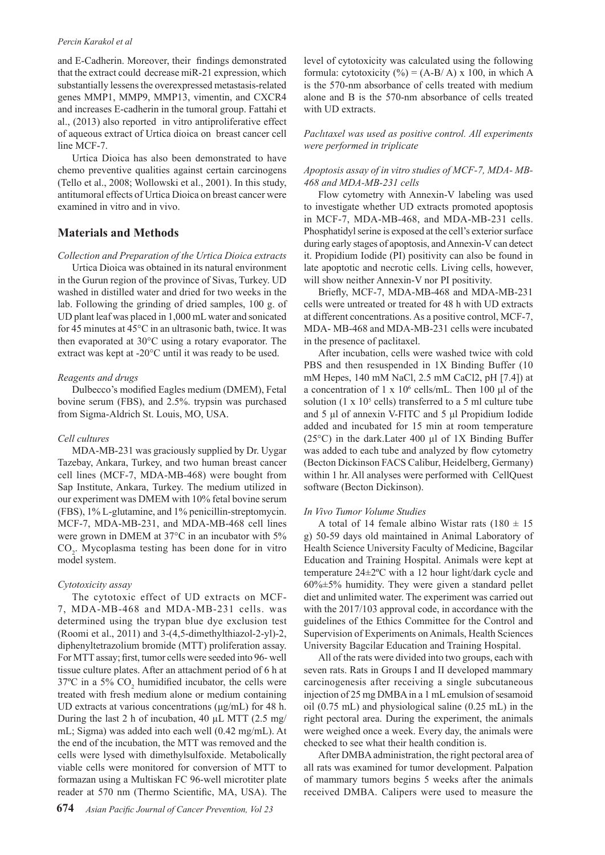#### *Percin Karakol et al*

and E-Cadherin. Moreover, their findings demonstrated that the extract could decrease miR-21 expression, which substantially lessens the overexpressed metastasis-related genes MMP1, MMP9, MMP13, vimentin, and CXCR4 and increases E-cadherin in the tumoral group. Fattahi et al., (2013) also reported in vitro antiproliferative effect of aqueous extract of Urtica dioica on breast cancer cell line MCF-7.

Urtica Dioica has also been demonstrated to have chemo preventive qualities against certain carcinogens (Tello et al., 2008; Wollowski et al., 2001). In this study, antitumoral effects of Urtica Dioica on breast cancer were examined in vitro and in vivo.

# **Materials and Methods**

*Collection and Preparation of the Urtica Dioica extracts*

Urtica Dioica was obtained in its natural environment in the Gurun region of the province of Sivas, Turkey. UD washed in distilled water and dried for two weeks in the lab. Following the grinding of dried samples, 100 g. of UD plant leaf was placed in 1,000 mL water and sonicated for 45 minutes at 45°C in an ultrasonic bath, twice. It was then evaporated at 30°C using a rotary evaporator. The extract was kept at -20°C until it was ready to be used.

#### *Reagents and drugs*

Dulbecco's modified Eagles medium (DMEM), Fetal bovine serum (FBS), and 2.5%. trypsin was purchased from Sigma-Aldrich St. Louis, MO, USA.

#### *Cell cultures*

MDA-MB-231 was graciously supplied by Dr. Uygar Tazebay, Ankara, Turkey, and two human breast cancer cell lines (MCF-7, MDA-MB-468) were bought from Sap Institute, Ankara, Turkey. The medium utilized in our experiment was DMEM with 10% fetal bovine serum (FBS), 1% L-glutamine, and 1% penicillin-streptomycin. MCF-7, MDA-MB-231, and MDA-MB-468 cell lines were grown in DMEM at 37°C in an incubator with 5%  $CO<sub>2</sub>$ . Mycoplasma testing has been done for in vitro model system.

#### *Cytotoxicity assay*

The cytotoxic effect of UD extracts on MCF-7, MDA-MB-468 and MDA-MB-231 cells. was determined using the trypan blue dye exclusion test (Roomi et al., 2011) and 3-(4,5-dimethylthiazol-2-yl)-2, diphenyltetrazolium bromide (MTT) proliferation assay. For MTT assay; first, tumor cells were seeded into 96- well tissue culture plates. After an attachment period of 6 h at  $37^{\circ}$ C in a 5%  $CO_2$  humidified incubator, the cells were treated with fresh medium alone or medium containing UD extracts at various concentrations (μg/mL) for 48 h. During the last 2 h of incubation, 40 µL MTT (2.5 mg/ mL; Sigma) was added into each well (0.42 mg/mL). At the end of the incubation, the MTT was removed and the cells were lysed with dimethylsulfoxide. Metabolically viable cells were monitored for conversion of MTT to formazan using a Multiskan FC 96-well microtiter plate reader at 570 nm (Thermo Scientific, MA, USA). The

level of cytotoxicity was calculated using the following formula: cytotoxicity  $(\%) = (A-B/A) \times 100$ , in which A is the 570-nm absorbance of cells treated with medium alone and B is the 570-nm absorbance of cells treated with UD extracts.

*Paclıtaxel was used as positive control. All experiments were performed in triplicate*

#### *Apoptosis assay of in vitro studies of MCF-7, MDA- MB-468 and MDA-MB-231 cells*

Flow cytometry with Annexin-V labeling was used to investigate whether UD extracts promoted apoptosis in MCF-7, MDA-MB-468, and MDA-MB-231 cells. Phosphatidyl serine is exposed at the cell's exterior surface during early stages of apoptosis, and Annexin-V can detect it. Propidium Iodide (PI) positivity can also be found in late apoptotic and necrotic cells. Living cells, however, will show neither Annexin-V nor PI positivity.

Briefly, MCF-7, MDA-MB-468 and MDA-MB-231 cells were untreated or treated for 48 h with UD extracts at different concentrations. As a positive control, MCF-7, MDA- MB-468 and MDA-MB-231 cells were incubated in the presence of paclitaxel.

After incubation, cells were washed twice with cold PBS and then resuspended in 1X Binding Buffer (10 mM Hepes, 140 mM NaCl, 2.5 mM CaCl2, pH [7.4]) at a concentration of  $1 \times 10^6$  cells/mL. Then 100 µl of the solution (1 x  $10<sup>5</sup>$  cells) transferred to a 5 ml culture tube and 5 μl of annexin V-FITC and 5 μl Propidium Iodide added and incubated for 15 min at room temperature (25°C) in the dark.Later 400 μl of 1X Binding Buffer was added to each tube and analyzed by flow cytometry (Becton Dickinson FACS Calibur, Heidelberg, Germany) within 1 hr. All analyses were performed with CellQuest software (Becton Dickinson).

#### *In Vivo Tumor Volume Studies*

A total of 14 female albino Wistar rats  $(180 \pm 15)$ g) 50-59 days old maintained in Animal Laboratory of Health Science University Faculty of Medicine, Bagcilar Education and Training Hospital. Animals were kept at temperature 24±2ºC with a 12 hour light/dark cycle and  $60\% \pm 5\%$  humidity. They were given a standard pellet diet and unlimited water. The experiment was carried out with the 2017/103 approval code, in accordance with the guidelines of the Ethics Committee for the Control and Supervision of Experiments on Animals, Health Sciences University Bagcilar Education and Training Hospital.

All of the rats were divided into two groups, each with seven rats. Rats in Groups I and II developed mammary carcinogenesis after receiving a single subcutaneous injection of 25 mg DMBA in a 1 mL emulsion of sesamoid oil (0.75 mL) and physiological saline (0.25 mL) in the right pectoral area. During the experiment, the animals were weighed once a week. Every day, the animals were checked to see what their health condition is.

After DMBA administration, the right pectoral area of all rats was examined for tumor development. Palpation of mammary tumors begins 5 weeks after the animals received DMBA. Calipers were used to measure the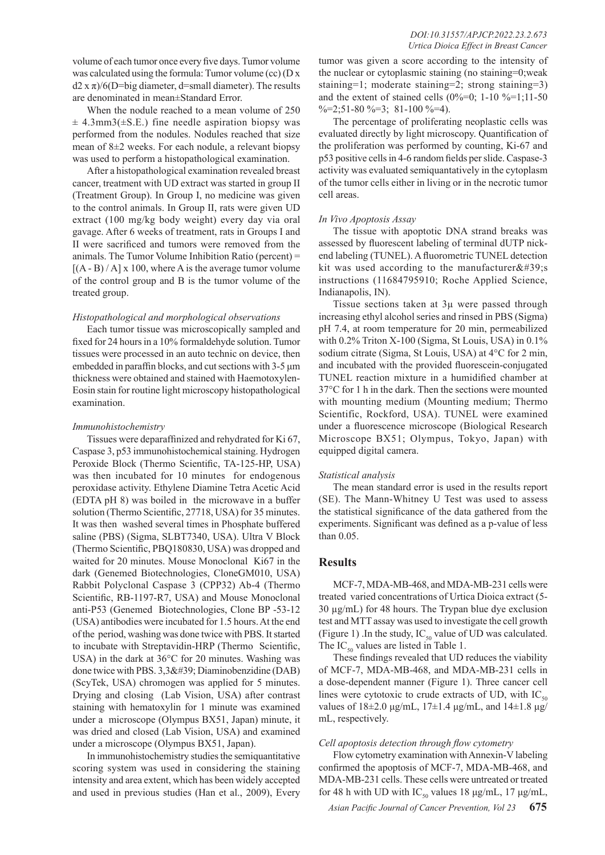volume of each tumor once every five days. Tumor volume was calculated using the formula: Tumor volume (cc) (D x  $d2 x \pi$ /6(D=big diameter, d=small diameter). The results are denominated in mean±Standard Error.

When the nodule reached to a mean volume of 250  $\pm$  4.3mm3( $\pm$ S.E.) fine needle aspiration biopsy was performed from the nodules. Nodules reached that size mean of 8±2 weeks. For each nodule, a relevant biopsy was used to perform a histopathological examination.

After a histopathological examination revealed breast cancer, treatment with UD extract was started in group II (Treatment Group). In Group I, no medicine was given to the control animals. In Group II, rats were given UD extract (100 mg/kg body weight) every day via oral gavage. After 6 weeks of treatment, rats in Groups I and II were sacrificed and tumors were removed from the animals. The Tumor Volume Inhibition Ratio (percent) =  $[(A - B) / A] \times 100$ , where A is the average tumor volume of the control group and B is the tumor volume of the treated group.

#### *Histopathological and morphological observations*

Each tumor tissue was microscopically sampled and fixed for 24 hours in a 10% formaldehyde solution. Tumor tissues were processed in an auto technic on device, then embedded in paraffin blocks, and cut sections with 3-5 μm thickness were obtained and stained with Haemotoxylen-Eosin stain for routine light microscopy histopathological examination.

#### *Immunohistochemistry*

Tissues were deparaffinized and rehydrated for Ki 67, Caspase 3, p53 immunohistochemical staining. Hydrogen Peroxide Block (Thermo Scientific, TA-125-HP, USA) was then incubated for 10 minutes for endogenous peroxidase activity. Ethylene Diamine Tetra Acetic Acid (EDTA pH 8) was boiled in the microwave in a buffer solution (Thermo Scientific, 27718, USA) for 35 minutes. It was then washed several times in Phosphate buffered saline (PBS) (Sigma, SLBT7340, USA). Ultra V Block (Thermo Scientific, PBQ180830, USA) was dropped and waited for 20 minutes. Mouse Monoclonal Ki67 in the dark (Genemed Biotechnologies, CloneGM010, USA) Rabbit Polyclonal Caspase 3 (CPP32) Ab-4 (Thermo Scientific, RB-1197-R7, USA) and Mouse Monoclonal anti-P53 (Genemed Biotechnologies, Clone BP -53-12 (USA) antibodies were incubated for 1.5 hours. At the end of the period, washing was done twice with PBS. It started to incubate with Streptavidin-HRP (Thermo Scientific, USA) in the dark at 36°C for 20 minutes. Washing was done twice with PBS. 3,3' Diaminobenzidine (DAB) (ScyTek, USA) chromogen was applied for 5 minutes. Drying and closing (Lab Vision, USA) after contrast staining with hematoxylin for 1 minute was examined under a microscope (Olympus BX51, Japan) minute, it was dried and closed (Lab Vision, USA) and examined under a microscope (Olympus BX51, Japan).

In immunohistochemistry studies the semiquantitative scoring system was used in considering the staining intensity and area extent, which has been widely accepted and used in previous studies (Han et al., 2009), Every tumor was given a score according to the intensity of the nuclear or cytoplasmic staining (no staining=0;weak staining=1; moderate staining=2; strong staining=3) and the extent of stained cells  $(0\% = 0; 1-10 \% = 1; 11-50)$  $\% = 2; 51 - 80 \% = 3; 81 - 100 \% = 4.$ 

The percentage of proliferating neoplastic cells was evaluated directly by light microscopy. Quantification of the proliferation was performed by counting, Ki-67 and p53 positive cells in 4-6 random fields per slide. Caspase-3 activity was evaluated semiquantatively in the cytoplasm of the tumor cells either in living or in the necrotic tumor cell areas.

#### *In Vivo Apoptosis Assay*

The tissue with apoptotic DNA strand breaks was assessed by fluorescent labeling of terminal dUTP nickend labeling (TUNEL). A fluorometric TUNEL detection kit was used according to the manufacturer $x#39$ ; instructions (11684795910; Roche Applied Science, Indianapolis, IN).

Tissue sections taken at 3µ were passed through increasing ethyl alcohol series and rinsed in PBS (Sigma) pH 7.4, at room temperature for 20 min, permeabilized with 0.2% Triton X-100 (Sigma, St Louis, USA) in 0.1% sodium citrate (Sigma, St Louis, USA) at 4°C for 2 min, and incubated with the provided fluorescein-conjugated TUNEL reaction mixture in a humidified chamber at 37°C for 1 h in the dark. Then the sections were mounted with mounting medium (Mounting medium; Thermo Scientific, Rockford, USA). TUNEL were examined under a fluorescence microscope (Biological Research Microscope BX51; Olympus, Tokyo, Japan) with equipped digital camera.

#### *Statistical analysis*

The mean standard error is used in the results report (SE). The Mann-Whitney U Test was used to assess the statistical significance of the data gathered from the experiments. Significant was defined as a p-value of less than 0.05.

# **Results**

MCF-7, MDA-MB-468, and MDA-MB-231 cells were treated varied concentrations of Urtica Dioica extract (5- 30 µg/mL) for 48 hours. The Trypan blue dye exclusion test and MTT assay was used to investigate the cell growth (Figure 1) .In the study,  $IC_{50}$  value of UD was calculated. The  $IC_{50}$  values are listed in Table 1.

These findings revealed that UD reduces the viability of MCF-7, MDA-MB-468, and MDA-MB-231 cells in a dose-dependent manner (Figure 1). Three cancer cell lines were cytotoxic to crude extracts of UD, with  $IC_{50}$ values of  $18\pm2.0$  μg/mL,  $17\pm1.4$  μg/mL, and  $14\pm1.8$  μg/ mL, respectively.

#### *Cell apoptosis detection through flow cytometry*

Flow cytometry examination with Annexin-V labeling confirmed the apoptosis of MCF-7, MDA-MB-468, and MDA-MB-231 cells. These cells were untreated or treated for 48 h with UD with IC<sub>50</sub> values 18 μg/mL, 17 μg/mL,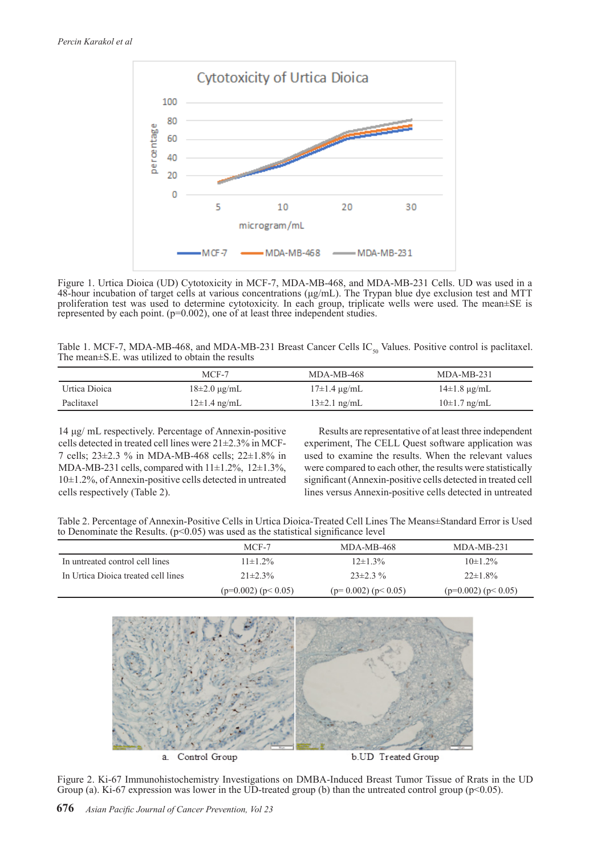

Figure 1. Urtica Dioica (UD) Cytotoxicity in MCF-7, MDA-MB-468, and MDA-MB-231 Cells. UD was used in a 48-hour incubation of target cells at various concentrations (μg/mL). The Trypan blue dye exclusion test and MTT proliferation test was used to determine cytotoxicity. In each group, triplicate wells were used. The mean±SE is represented by each point.  $(p=0.002)$ , one of at least three independent studies.

| Table 1. MCF-7, MDA-MB-468, and MDA-MB-231 Breast Cancer Cells $IC_{s_0}$ Values. Positive control is paclitaxel. |  |  |
|-------------------------------------------------------------------------------------------------------------------|--|--|
| The mean $\pm$ S.E. was utilized to obtain the results                                                            |  |  |

|               | MCF-7                 | $MDA-MB-468$          | $MDA-MB-231$          |
|---------------|-----------------------|-----------------------|-----------------------|
| Urtica Dioica | $18\pm2.0 \,\mu g/mL$ | $17\pm1.4 \,\mu g/mL$ | $14\pm1.8 \,\mu$ g/mL |
| Paclitaxel    | $12\pm1.4$ ng/mL      | $13\pm2.1$ ng/mL      | $10\pm1.7$ ng/mL      |

14 μg/ mL respectively. Percentage of Annexin-positive cells detected in treated cell lines were 21±2.3% in MCF-7 cells; 23±2.3 % in MDA-MB-468 cells; 22±1.8% in MDA-MB-231 cells, compared with 11±1.2%, 12±1.3%, 10±1.2%, of Annexin-positive cells detected in untreated cells respectively (Table 2).

Results are representative of at least three independent experiment, The CELL Quest software application was used to examine the results. When the relevant values were compared to each other, the results were statistically significant (Annexin-positive cells detected in treated cell lines versus Annexin-positive cells detected in untreated

Table 2. Percentage of Annexin-Positive Cells in Urtica Dioica-Treated Cell Lines The Means±Standard Error is Used to Denominate the Results.  $(p<0.05)$  was used as the statistical significance level

|                                     | MCF-7                   | MDA-MB-468           | $MDA-MB-231$         |
|-------------------------------------|-------------------------|----------------------|----------------------|
| In untreated control cell lines     | $11\pm1.2\%$            | $12\pm1.3\%$         | $10\pm1.2\%$         |
| In Urtica Dioica treated cell lines | $21\pm2.3\%$            | $23\pm2.3\%$         | $22 \pm 1.8\%$       |
|                                     | $(p=0.002)$ $(p< 0.05)$ | $(p=0.002) (p<0.05)$ | $(p=0.002) (p<0.05)$ |



Figure 2. Ki-67 Immunohistochemistry Investigations on DMBA-Induced Breast Tumor Tissue of Rrats in the UD Group (a). Ki-67 expression was lower in the UD-treated group (b) than the untreated control group (p<0.05).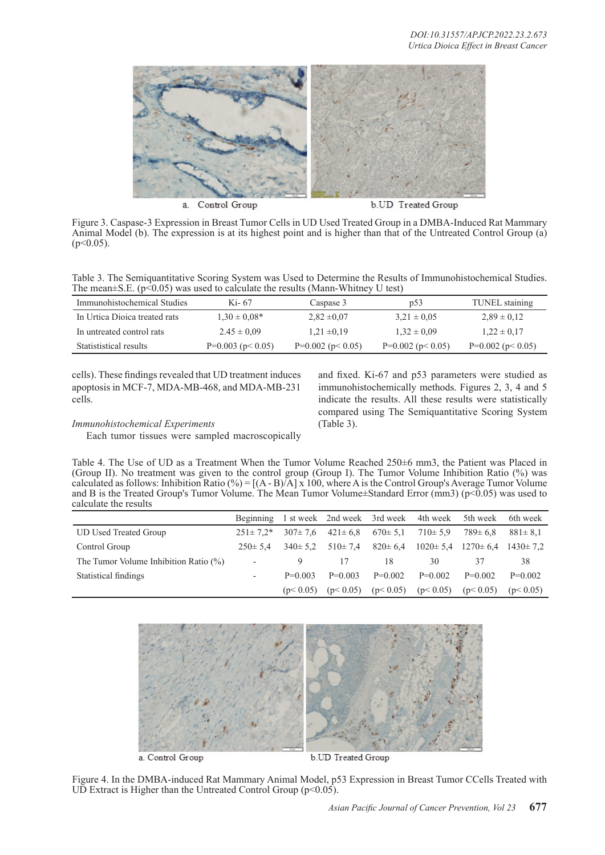

a. Control Group

b.UD Treated Group

Figure 3. Caspase-3 Expression in Breast Tumor Cells in UD Used Treated Group in a DMBA-Induced Rat Mammary Animal Model (b). The expression is at its highest point and is higher than that of the Untreated Control Group (a)  $(p<0.05)$ .

Table 3. The Semiquantitative Scoring System was Used to Determine the Results of Immunohistochemical Studies. The mean $\pm$ S.E. (p<0.05) was used to calculate the results (Mann-Whitney U test)

| Immunohistochemical Studies   | Ki- 67                  | Caspase 3               | p53                   | TUNEL staining          |  |
|-------------------------------|-------------------------|-------------------------|-----------------------|-------------------------|--|
| In Urtica Dioica treated rats | $1.30 \pm 0.08*$        | $2,82 \pm 0,07$         | $3.21 \pm 0.05$       | $2.89 \pm 0.12$         |  |
| In untreated control rats     | $2.45 \pm 0.09$         | $1.21 \pm 0.19$         | $1.32 \pm 0.09$       | $1,22 \pm 0,17$         |  |
| Statististical results        | $P=0.003$ ( $p< 0.05$ ) | $P=0.002$ ( $p< 0.05$ ) | $P=0.002$ (p $0.05$ ) | $P=0.002$ ( $p< 0.05$ ) |  |

cells). These findings revealed that UD treatment induces apoptosis in MCF-7, MDA-MB-468, and MDA-MB-231 cells.

#### *Immunohistochemical Experiments*

Each tumor tissues were sampled macroscopically

and fixed. Ki-67 and p53 parameters were studied as immunohistochemically methods. Figures 2, 3, 4 and 5 indicate the results. All these results were statistically compared using The Semiquantitative Scoring System (Table 3).

Table 4. The Use of UD as a Treatment When the Tumor Volume Reached 250±6 mm3, the Patient was Placed in (Group II). No treatment was given to the control group (Group I). The Tumor Volume Inhibition Ratio (%) was calculated as follows: Inhibition Ratio  $(\%) = [(\text{A} - \text{B})/\text{A}] \times 100$ , where A is the Control Group's Average Tumor Volume and B is the Treated Group's Tumor Volume. The Mean Tumor Volume $\pm$ Standard Error (mm3) (p<0.05) was used to calculate the results

|                                          |                          |               |               |               | Beginning 1 st week 2nd week 3rd week 4th week | 5th week                                     | 6th week      |
|------------------------------------------|--------------------------|---------------|---------------|---------------|------------------------------------------------|----------------------------------------------|---------------|
| <b>UD Used Treated Group</b>             | $251 \pm 7.2^*$          | $307 \pm 7.6$ | $421 \pm 6.8$ | $670 \pm 5.1$ | $710 \pm 5.9$                                  | $789 \pm 6.8$                                | $881 \pm 8.1$ |
| Control Group                            | $250 \pm 5.4$            | $340 \pm 5.2$ | $510 \pm 7.4$ | $820 \pm 6.4$ |                                                | $1020 \pm 5.4$ $1270 \pm 6.4$ $1430 \pm 7.2$ |               |
| The Tumor Volume Inhibition Ratio $(\%)$ |                          |               |               | 18            | 30                                             |                                              | 38            |
| Statistical findings                     | $\overline{\phantom{a}}$ | $P=0.003$     | $P=0.003$     | $P=0.002$     | $P=0.002$                                      | $P=0.002$                                    | $P=0.002$     |
|                                          |                          | (p< 0.05)     | (p< 0.05)     | (p< 0.05)     | (p< 0.05)                                      | (p< 0.05)                                    | (p< 0.05)     |



Figure 4. In the DMBA-induced Rat Mammary Animal Model, p53 Expression in Breast Tumor CCells Treated with UD Extract is Higher than the Untreated Control Group  $(p<0.05)$ .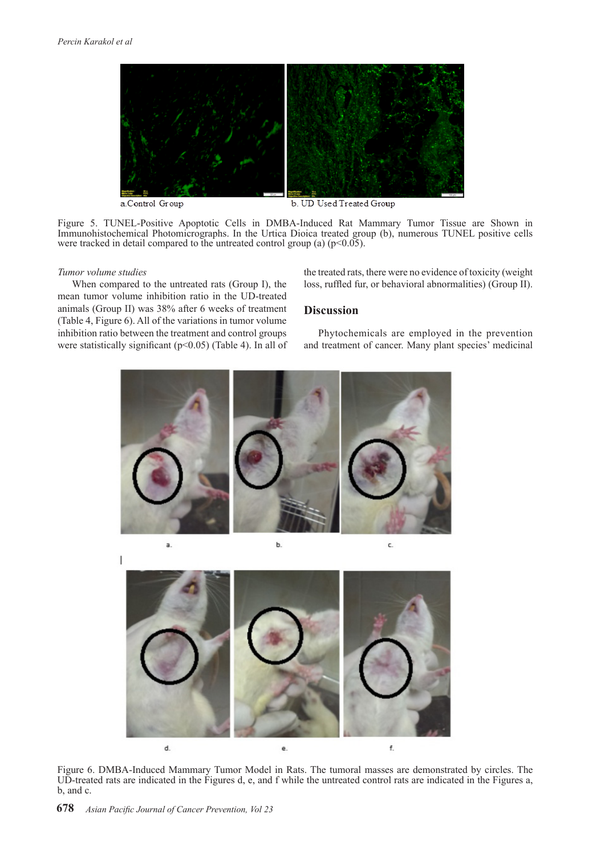

a.Control Group

b. UD Used Treated Group

Figure 5. TUNEL-Positive Apoptotic Cells in DMBA-Induced Rat Mammary Tumor Tissue are Shown in Immunohistochemical Photomicrographs. In the Urtica Dioica treated group (b), numerous TUNEL positive cells were tracked in detail compared to the untreated control group (a)  $(p<0.05)$ .

#### *Tumor volume studies*

When compared to the untreated rats (Group I), the mean tumor volume inhibition ratio in the UD-treated animals (Group II) was 38% after 6 weeks of treatment (Table 4, Figure 6). All of the variations in tumor volume inhibition ratio between the treatment and control groups were statistically significant (p<0.05) (Table 4). In all of the treated rats, there were no evidence of toxicity (weight loss, ruffled fur, or behavioral abnormalities) (Group II).

## **Discussion**

Phytochemicals are employed in the prevention and treatment of cancer. Many plant species' medicinal



d. f.  $\epsilon$ 

Figure 6. DMBA-Induced Mammary Tumor Model in Rats. The tumoral masses are demonstrated by circles. The UD-treated rats are indicated in the Figures d, e, and f while the untreated control rats are indicated in the Figures a, b, and c.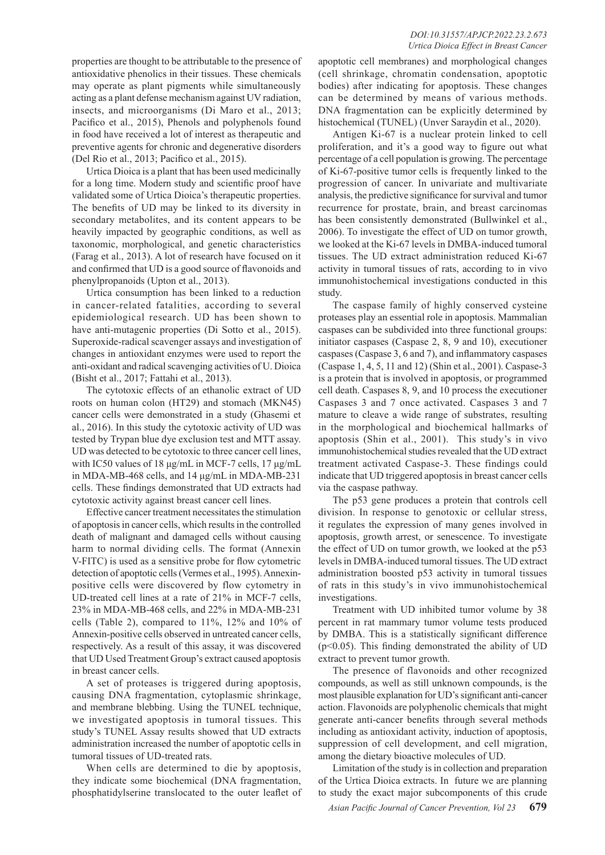properties are thought to be attributable to the presence of antioxidative phenolics in their tissues. These chemicals may operate as plant pigments while simultaneously acting as a plant defense mechanism against UV radiation, insects, and microorganisms (Di Maro et al., 2013; Pacifico et al., 2015), Phenols and polyphenols found in food have received a lot of interest as therapeutic and preventive agents for chronic and degenerative disorders (Del Rio et al., 2013; Pacifico et al., 2015).

Urtica Dioica is a plant that has been used medicinally for a long time. Modern study and scientific proof have validated some of Urtica Dioica's therapeutic properties. The benefits of UD may be linked to its diversity in secondary metabolites, and its content appears to be heavily impacted by geographic conditions, as well as taxonomic, morphological, and genetic characteristics (Farag et al., 2013). A lot of research have focused on it and confirmed that UD is a good source of flavonoids and phenylpropanoids (Upton et al., 2013).

Urtica consumption has been linked to a reduction in cancer-related fatalities, according to several epidemiological research. UD has been shown to have anti-mutagenic properties (Di Sotto et al., 2015). Superoxide-radical scavenger assays and investigation of changes in antioxidant enzymes were used to report the anti-oxidant and radical scavenging activities of U. Dioica (Bisht et al., 2017; Fattahi et al., 2013).

The cytotoxic effects of an ethanolic extract of UD roots on human colon (HT29) and stomach (MKN45) cancer cells were demonstrated in a study (Ghasemi et al., 2016). In this study the cytotoxic activity of UD was tested by Trypan blue dye exclusion test and MTT assay. UD was detected to be cytotoxic to three cancer cell lines, with IC50 values of 18 μg/mL in MCF-7 cells, 17 μg/mL in MDA-MB-468 cells, and 14 μg/mL in MDA-MB-231 cells. These findings demonstrated that UD extracts had cytotoxic activity against breast cancer cell lines.

Effective cancer treatment necessitates the stimulation of apoptosis in cancer cells, which results in the controlled death of malignant and damaged cells without causing harm to normal dividing cells. The format (Annexin V-FITC) is used as a sensitive probe for flow cytometric detection of apoptotic cells (Vermes et al., 1995). Annexinpositive cells were discovered by flow cytometry in UD-treated cell lines at a rate of 21% in MCF-7 cells, 23% in MDA-MB-468 cells, and 22% in MDA-MB-231 cells (Table 2), compared to 11%, 12% and 10% of Annexin-positive cells observed in untreated cancer cells, respectively. As a result of this assay, it was discovered that UD Used Treatment Group's extract caused apoptosis in breast cancer cells.

A set of proteases is triggered during apoptosis, causing DNA fragmentation, cytoplasmic shrinkage, and membrane blebbing. Using the TUNEL technique, we investigated apoptosis in tumoral tissues. This study's TUNEL Assay results showed that UD extracts administration increased the number of apoptotic cells in tumoral tissues of UD-treated rats.

When cells are determined to die by apoptosis, they indicate some biochemical (DNA fragmentation, phosphatidylserine translocated to the outer leaflet of

apoptotic cell membranes) and morphological changes (cell shrinkage, chromatin condensation, apoptotic bodies) after indicating for apoptosis. These changes can be determined by means of various methods. DNA fragmentation can be explicitly determined by histochemical (TUNEL) (Unver Saraydin et al., 2020).

Antigen Ki-67 is a nuclear protein linked to cell proliferation, and it's a good way to figure out what percentage of a cell population is growing. The percentage of Ki-67-positive tumor cells is frequently linked to the progression of cancer. In univariate and multivariate analysis, the predictive significance for survival and tumor recurrence for prostate, brain, and breast carcinomas has been consistently demonstrated (Bullwinkel et al., 2006). To investigate the effect of UD on tumor growth, we looked at the Ki-67 levels in DMBA-induced tumoral tissues. The UD extract administration reduced Ki-67 activity in tumoral tissues of rats, according to in vivo immunohistochemical investigations conducted in this study.

The caspase family of highly conserved cysteine proteases play an essential role in apoptosis. Mammalian caspases can be subdivided into three functional groups: initiator caspases (Caspase 2, 8, 9 and 10), executioner caspases (Caspase 3, 6 and 7), and inflammatory caspases (Caspase 1, 4, 5, 11 and 12) (Shin et al., 2001). Caspase-3 is a protein that is involved in apoptosis, or programmed cell death. Caspases 8, 9, and 10 process the executioner Caspases 3 and 7 once activated. Caspases 3 and 7 mature to cleave a wide range of substrates, resulting in the morphological and biochemical hallmarks of apoptosis (Shin et al., 2001). This study's in vivo immunohistochemical studies revealed that the UD extract treatment activated Caspase-3. These findings could indicate that UD triggered apoptosis in breast cancer cells via the caspase pathway.

The p53 gene produces a protein that controls cell division. In response to genotoxic or cellular stress, it regulates the expression of many genes involved in apoptosis, growth arrest, or senescence. To investigate the effect of UD on tumor growth, we looked at the p53 levels in DMBA-induced tumoral tissues. The UD extract administration boosted p53 activity in tumoral tissues of rats in this study's in vivo immunohistochemical investigations.

Treatment with UD inhibited tumor volume by 38 percent in rat mammary tumor volume tests produced by DMBA. This is a statistically significant difference  $(p<0.05)$ . This finding demonstrated the ability of UD extract to prevent tumor growth.

The presence of flavonoids and other recognized compounds, as well as still unknown compounds, is the most plausible explanation for UD's significant anti-cancer action. Flavonoids are polyphenolic chemicals that might generate anti-cancer benefits through several methods including as antioxidant activity, induction of apoptosis, suppression of cell development, and cell migration, among the dietary bioactive molecules of UD.

Limitation of the study is in collection and preparation of the Urtica Dioica extracts. In future we are planning to study the exact major subcomponents of this crude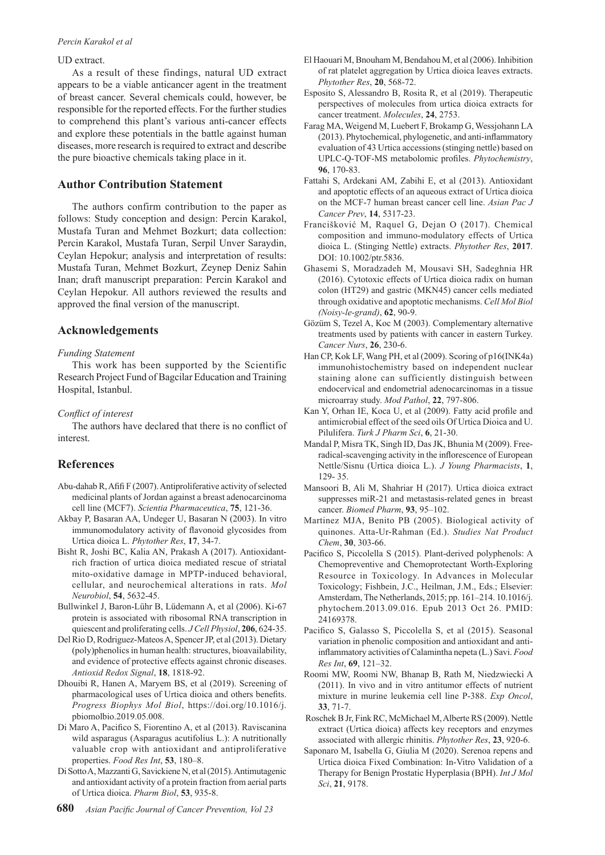#### *Percin Karakol et al*

#### UD extract.

As a result of these findings, natural UD extract appears to be a viable anticancer agent in the treatment of breast cancer. Several chemicals could, however, be responsible for the reported effects. For the further studies to comprehend this plant's various anti-cancer effects and explore these potentials in the battle against human diseases, more research is required to extract and describe the pure bioactive chemicals taking place in it.

# **Author Contribution Statement**

The authors confirm contribution to the paper as follows: Study conception and design: Percin Karakol, Mustafa Turan and Mehmet Bozkurt; data collection: Percin Karakol, Mustafa Turan, Serpil Unver Saraydin, Ceylan Hepokur; analysis and interpretation of results: Mustafa Turan, Mehmet Bozkurt, Zeynep Deniz Sahin Inan; draft manuscript preparation: Percin Karakol and Ceylan Hepokur. All authors reviewed the results and approved the final version of the manuscript.

#### **Acknowledgements**

#### *Funding Statement*

This work has been supported by the Scientific Research Project Fund of Bagcilar Education and Training Hospital, Istanbul.

*Conflict of interest*

The authors have declared that there is no conflict of interest.

# **References**

- Abu-dahab R, Afifi F (2007). Antiproliferative activity of selected medicinal plants of Jordan against a breast adenocarcinoma cell line (MCF7). *Scientia Pharmaceutica*, **75**, 121-36.
- Akbay P, Basaran AA, Undeger U, Basaran N (2003). In vitro immunomodulatory activity of flavonoid glycosides from Urtica dioica L. *Phytother Res*, **17**, 34-7.
- Bisht R, Joshi BC, Kalia AN, Prakash A (2017). Antioxidantrich fraction of urtica dioica mediated rescue of striatal mito-oxidative damage in MPTP-induced behavioral, cellular, and neurochemical alterations in rats. *Mol Neurobiol*, **54**, 5632-45.
- Bullwinkel J, Baron-Lühr B, Lüdemann A, et al (2006). Ki-67 protein is associated with ribosomal RNA transcription in quiescent and proliferating cells. *J Cell Physiol*, **206**, 624-35.
- Del Rio D, Rodriguez-Mateos A, Spencer JP, et al (2013). Dietary (poly)phenolics in human health: structures, bioavailability, and evidence of protective effects against chronic diseases. *Antioxid Redox Signal*, **18**, 1818-92.
- Dhouibi R, Hanen A, Maryem BS, et al (2019). Screening of pharmacological uses of Urtica dioica and others benefits. *Progress Biophys Mol Biol*, https://doi.org/10.1016/j. pbiomolbio.2019.05.008.
- Di Maro A, Pacifico S, Fiorentino A, et al (2013). Raviscanina wild asparagus (Asparagus acutifolius L.): A nutritionally valuable crop with antioxidant and antiproliferative properties. *Food Res Int*, **53**, 180–8.
- Di Sotto A, Mazzanti G, Savickiene N, et al (2015). Antimutagenic and antioxidant activity of a protein fraction from aerial parts of Urtica dioica. *Pharm Biol*, **53**, 935-8.
- El Haouari M, Bnouham M, Bendahou M, et al (2006). Inhibition of rat platelet aggregation by Urtica dioica leaves extracts. *Phytother Res*, **20**, 568-72.
- Esposito S, Alessandro B, Rosita R, et al (2019). Therapeutic perspectives of molecules from urtica dioica extracts for cancer treatment. *Molecules*, **24**, 2753.
- Farag MA, Weigend M, Luebert F, Brokamp G, Wessjohann LA (2013). Phytochemical, phylogenetic, and anti-inflammatory evaluation of 43 Urtica accessions (stinging nettle) based on UPLC-Q-TOF-MS metabolomic profiles. *Phytochemistry*, **96**, 170-83.
- Fattahi S, Ardekani AM, Zabihi E, et al (2013). Antioxidant and apoptotic effects of an aqueous extract of Urtica dioica on the MCF-7 human breast cancer cell line. *Asian Pac J Cancer Prev*, **14**, 5317-23.
- Francišković M, Raquel G, Dejan O (2017). Chemical composition and immuno-modulatory effects of Urtica dioica L. (Stinging Nettle) extracts. *Phytother Res*, **2017**. DOI: 10.1002/ptr.5836.
- Ghasemi S, Moradzadeh M, Mousavi SH, Sadeghnia HR (2016). Cytotoxic effects of Urtica dioica radix on human colon (HT29) and gastric (MKN45) cancer cells mediated through oxidative and apoptotic mechanisms. *Cell Mol Biol (Noisy-le-grand)*, **62**, 90-9.
- Gözüm S, Tezel A, Koc M (2003). Complementary alternative treatments used by patients with cancer in eastern Turkey. *Cancer Nurs*, **26**, 230-6.
- Han CP, Kok LF, Wang PH, et al (2009). Scoring of p16(INK4a) immunohistochemistry based on independent nuclear staining alone can sufficiently distinguish between endocervical and endometrial adenocarcinomas in a tissue microarray study. *Mod Pathol*, **22**, 797-806.
- Kan Y, Orhan IE, Koca U, et al (2009). Fatty acid profile and antimicrobial effect of the seed oils Of Urtica Dioica and U. Pilulifera. *Turk J Pharm Sci*, **6**, 21-30.
- Mandal P, Misra TK, Singh ID, Das JK, Bhunia M (2009). Freeradical-scavenging activity in the inflorescence of European Nettle/Sisnu (Urtica dioica L.). *J Young Pharmacists*, **1**, 129- 35.
- Mansoori B, Ali M, Shahriar H (2017). Urtica dioica extract suppresses miR-21 and metastasis-related genes in breast cancer. *Biomed Pharm*, **93**, 95–102.
- Martinez MJA, Benito PB (2005). Biological activity of quinones. Atta-Ur-Rahman (Ed.). *Studies Nat Product Chem*, **30**, 303-66.
- Pacifico S, Piccolella S (2015). Plant-derived polyphenols: A Chemopreventive and Chemoprotectant Worth-Exploring Resource in Toxicology. In Advances in Molecular Toxicology; Fishbein, J.C., Heilman, J.M., Eds.; Elsevier: Amsterdam, The Netherlands, 2015; pp. 161–214. 10.1016/j. phytochem.2013.09.016. Epub 2013 Oct 26. PMID: 24169378.
- Pacifico S, Galasso S, Piccolella S, et al (2015). Seasonal variation in phenolic composition and antioxidant and antiinflammatory activities of Calamintha nepeta (L.) Savi. *Food Res Int*, **69**, 121–32.
- Roomi MW, Roomi NW, Bhanap B, Rath M, Niedzwiecki A (2011). In vivo and in vitro antitumor effects of nutrient mixture in murine leukemia cell line P-388. *Exp Oncol*, **33**, 71-7.
- Roschek B Jr, Fink RC, McMichael M, Alberte RS (2009). Nettle extract (Urtica dioica) affects key receptors and enzymes associated with allergic rhinitis. *Phytother Res*, **23**, 920-6.
- Saponaro M, Isabella G, Giulia M (2020). Serenoa repens and Urtica dioica Fixed Combination: In-Vitro Validation of a Therapy for Benign Prostatic Hyperplasia (BPH). *Int J Mol Sci*, **21**, 9178.